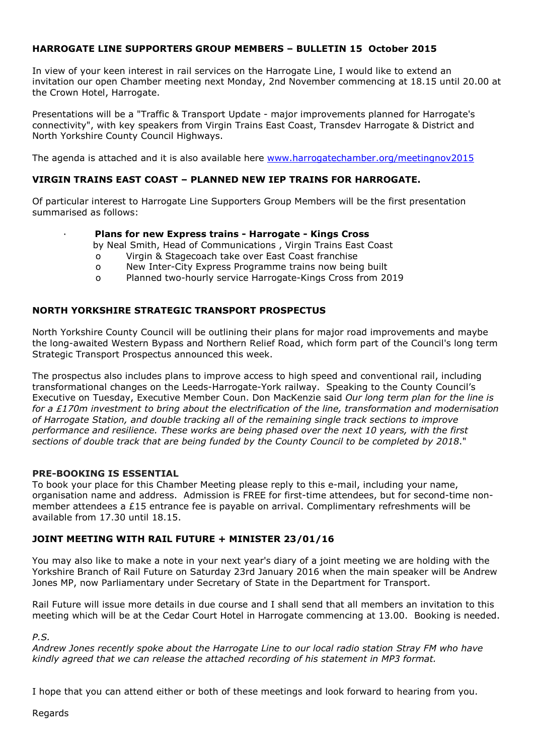# **HARROGATE LINE SUPPORTERS GROUP MEMBERS – BULLETIN 15 October 2015**

In view of your keen interest in rail services on the Harrogate Line, I would like to extend an invitation our open Chamber meeting next Monday, 2nd November commencing at 18.15 until 20.00 at the Crown Hotel, Harrogate.

Presentations will be a "Traffic & Transport Update - major improvements planned for Harrogate's connectivity", with key speakers from Virgin Trains East Coast, Transdev Harrogate & District and North Yorkshire County Council Highways.

The agenda is attached and it is also available here www.harrogatechamber.org/meetingnov2015

## **VIRGIN TRAINS EAST COAST – PLANNED NEW IEP TRAINS FOR HARROGATE.**

Of particular interest to Harrogate Line Supporters Group Members will be the first presentation summarised as follows:

#### **Plans for new Express trains - Harrogate - Kings Cross**

by Neal Smith, Head of Communications , Virgin Trains East Coast

- o Virgin & Stagecoach take over East Coast franchise
- o New Inter-City Express Programme trains now being built
- o Planned two-hourly service Harrogate-Kings Cross from 2019

## **NORTH YORKSHIRE STRATEGIC TRANSPORT PROSPECTUS**

North Yorkshire County Council will be outlining their plans for major road improvements and maybe the long-awaited Western Bypass and Northern Relief Road, which form part of the Council's long term Strategic Transport Prospectus announced this week.

The prospectus also includes plans to improve access to high speed and conventional rail, including transformational changes on the Leeds-Harrogate-York railway. Speaking to the County Council's Executive on Tuesday, Executive Member Coun. Don MacKenzie said *Our long term plan for the line is for a £170m investment to bring about the electrification of the line, transformation and modernisation of Harrogate Station, and double tracking all of the remaining single track sections to improve performance and resilience. These works are being phased over the next 10 years, with the first sections of double track that are being funded by the County Council to be completed by 2018*."

#### **PRE-BOOKING IS ESSENTIAL**

To book your place for this Chamber Meeting please reply to this e-mail, including your name, organisation name and address. Admission is FREE for first-time attendees, but for second-time nonmember attendees a £15 entrance fee is payable on arrival. Complimentary refreshments will be available from 17.30 until 18.15.

## **JOINT MEETING WITH RAIL FUTURE + MINISTER 23/01/16**

You may also like to make a note in your next year's diary of a joint meeting we are holding with the Yorkshire Branch of Rail Future on Saturday 23rd January 2016 when the main speaker will be Andrew Jones MP, now Parliamentary under Secretary of State in the Department for Transport.

Rail Future will issue more details in due course and I shall send that all members an invitation to this meeting which will be at the Cedar Court Hotel in Harrogate commencing at 13.00. Booking is needed.

#### *P.S.*

*Andrew Jones recently spoke about the Harrogate Line to our local radio station Stray FM who have kindly agreed that we can release the attached recording of his statement in MP3 format.*

I hope that you can attend either or both of these meetings and look forward to hearing from you.

Regards